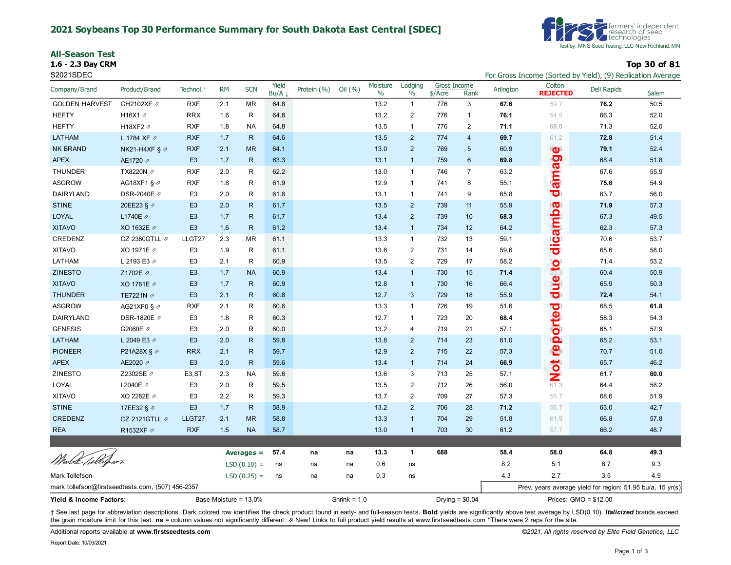#### **2021 Soybeans Top 30 Performance Summary for South Dakota East Central [SDEC]**

| All-Season Test |  |
|-----------------|--|
|-----------------|--|

**1.6 - 2.3 Day CRM Top 30 of 81**



S2021SDEC **For Gross Income (Sorted by Yield), (9) Replication Average** For Gross Income (Sorted by Yield), (9) Replication Average

| Company/Brand                                     | Product/Brand             | Technol. <sup>+</sup> | <b>RM</b>    | <b>SCN</b>    | Yield<br>Bu/A | Protein (%) | Oil $(\% )$    | Moisture<br>$\%$ | Lodging<br>$\%$ | Gross Income<br>$$/$ Acre | Rank             | Arlington | Colton<br><b>REJECTED</b> | Dell Rapids                                                | Salem |
|---------------------------------------------------|---------------------------|-----------------------|--------------|---------------|---------------|-------------|----------------|------------------|-----------------|---------------------------|------------------|-----------|---------------------------|------------------------------------------------------------|-------|
| <b>GOLDEN HARVEST</b>                             | GH2102XF 2                | <b>RXF</b>            | 2.1          | MR            | 64.8          |             |                | 13.2             | $\mathbf{1}$    | 776                       | $\mathsf 3$      | 67.6      | 59.7                      | 76.2                                                       | 50.5  |
| <b>HEFTY</b>                                      | H16X1 2                   | <b>RRX</b>            | 1.6          | R             | 64.8          |             |                | 13.2             | $\overline{2}$  | 776                       | $\mathbf{1}$     | 76.1      | 54.5                      | 66.3                                                       | 52.0  |
| <b>HEFTY</b>                                      | H18XF2 2                  | <b>RXF</b>            | 1.8          | NA            | 64.8          |             |                | 13.5             | $\mathbf{1}$    | 776                       | $\overline{2}$   | 71.1      | 69.0                      | 71.3                                                       | 52.0  |
| <b>LATHAM</b>                                     | L 1784 XF 7               | <b>RXF</b>            | 1.7          | $\mathsf{R}$  | 64.6          |             |                | 13.5             | $\overline{2}$  | 774                       | $\overline{4}$   | 69.7      | 61.2                      | 72.8                                                       | 51.4  |
| <b>NK BRAND</b>                                   | NK21-H4XF § $\varnothing$ | <b>RXF</b>            | 2.1          | <b>MR</b>     | 64.1          |             |                | 13.0             | $\overline{2}$  | 769                       | $\overline{5}$   | 60.9      | <b>O</b>                  | 79.1                                                       | 52.4  |
| <b>APEX</b>                                       | AE1720 2                  | E <sub>3</sub>        | 1.7          | $\mathsf{R}$  | 63.3          |             |                | 13.1             | $\mathbf{1}$    | 759                       | $6\phantom{1}6$  | 69.8      | gerus                     | 68.4                                                       | 51.8  |
| <b>THUNDER</b>                                    | TX8220N ⊉                 | <b>RXF</b>            | 2.0          | R             | 62.2          |             |                | 13.0             | $\mathbf{1}$    | 746                       | $\overline{7}$   | 63.2      |                           | 67.6                                                       | 55.9  |
| ASGROW                                            | AG18XF1 § $\varnothing$   | <b>RXF</b>            | 1.8          | R             | 61.9          |             |                | 12.9             | $\mathbf{1}$    | 741                       | 8                | 55.1      |                           | 75.6                                                       | 54.9  |
| DAIRYLAND                                         | DSR-2040E ク               | E <sub>3</sub>        | 2.0          | R             | 61.8          |             |                | 13.1             | $\mathbf{1}$    | 741                       | 9                | 65.8      | 503                       | 63.7                                                       | 56.0  |
| <b>STINE</b>                                      | 20EE23 § 2                | E <sub>3</sub>        | 2.0          | $\mathsf{R}$  | 61.7          |             |                | 13.5             | $\overline{2}$  | 739                       | 11               | 55.9      | CO                        | 71.9                                                       | 57.3  |
| <b>LOYAL</b>                                      | L1740E /                  | E <sub>3</sub>        | 1.7          | $\mathsf{R}$  | 61.7          |             |                | 13.4             | $\overline{2}$  | 739                       | 10               | 68.3      | amb                       | 67.3                                                       | 49.5  |
| <b>XITAVO</b>                                     | XO 1632E 2                | E <sub>3</sub>        | 1.6          | $\mathsf{R}$  | 61.2          |             |                | 13.4             | $\mathbf{1}$    | 734                       | 12               | 64.2      |                           | 62.3                                                       | 57.3  |
| CREDENZ                                           | CZ 2360GTLL $\not$        | LLGT27                | 2.3          | <b>MR</b>     | 61.1          |             |                | 13.3             | $\mathbf{1}$    | 732                       | 13               | 59.1      |                           | 70.6                                                       | 53.7  |
| <b>XITAVO</b>                                     | XO 1971E 2                | E <sub>3</sub>        | 1.9          | R             | 61.1          |             |                | 13.6             | $\overline{2}$  | 731                       | 14               | 59.6      | <u>မီ</u><br>ခ            | 65.6                                                       | 58.0  |
| LATHAM                                            | L 2193 E3 2               | E <sub>3</sub>        | 2.1          | R             | 60.9          |             |                | 13.5             | $\overline{2}$  | 729                       | 17               | 58.2      |                           | 71.4                                                       | 53.2  |
| <b>ZINESTO</b>                                    | Z1702E 2                  | E <sub>3</sub>        | 1.7          | <b>NA</b>     | 60.9          |             |                | 13.4             | $\mathbf{1}$    | 730                       | 15               | 71.4      | dueto                     | 60.4                                                       | 50.9  |
| <b>XITAVO</b>                                     | XO 1761E 2                | E <sub>3</sub>        | 1.7          | R             | 60.9          |             |                | 12.8             | $\mathbf{1}$    | 730                       | 16               | 66.4      |                           | 65.9                                                       | 50.3  |
| <b>THUNDER</b>                                    | TE7221N 2                 | E <sub>3</sub>        | 2.1          | R             | 60.8          |             |                | 12.7             | 3               | 729                       | 18               | 55.9      |                           | 72.4                                                       | 54.1  |
| <b>ASGROW</b>                                     | AG21XF0 § $\varnothing$   | <b>RXF</b>            | 2.1          | R             | 60.6          |             |                | 13.3             | $\mathbf{1}$    | 726                       | 19               | 51.6      | <mark>ැර</mark> ා         | 68.5                                                       | 61.8  |
| DAIRYLAND                                         | DSR-1820E 2               | E <sub>3</sub>        | 1.8          | R             | 60.3          |             |                | 12.7             | $\mathbf{1}$    | 723                       | 20               | 68.4      | orte                      | 58.3                                                       | 54.3  |
| <b>GENESIS</b>                                    | G2060E 2                  | E <sub>3</sub>        | 2.0          | $\mathsf R$   | 60.0          |             |                | 13.2             | 4               | 719                       | 21               | 57.1      |                           | 65.1                                                       | 57.9  |
| LATHAM                                            | L 2049 E3 2               | E <sub>3</sub>        | 2.0          | $\mathsf{R}$  | 59.8          |             |                | 13.8             | $\overline{2}$  | 714                       | 23               | 61.0      |                           | 65.2                                                       | 53.1  |
| <b>PIONEER</b>                                    | P21A28X § ⊉               | <b>RRX</b>            | 2.1          | $\mathsf{R}$  | 59.7          |             |                | 12.9             | $\overline{2}$  | 715                       | 22               | 57.3      | <b>ieg</b>                | 70.7                                                       | 51.0  |
| <b>APEX</b>                                       | AE2020 2                  | E <sub>3</sub>        | 2.0          | R             | 59.6          |             |                | 13.4             | $\mathbf{1}$    | 714                       | 24               | 66.9      |                           | 65.7                                                       | 46.2  |
| ZINESTO                                           | Z2302SE ク                 | E <sub>3</sub> , ST   | 2.3          | <b>NA</b>     | 59.6          |             |                | 13.6             | 3               | 713                       | 25               | 57.1      | <b>BOW</b>                | 61.7                                                       | 60.0  |
| LOYAL                                             | L2040E 2                  | E <sub>3</sub>        | 2.0          | R             | 59.5          |             |                | 13.5             | $\overline{2}$  | 712                       | 26               | 56.0      |                           | 64.4                                                       | 58.2  |
| <b>XITAVO</b>                                     | XO 2282E 2                | E <sub>3</sub>        | 2.2          | R.            | 59.3          |             |                | 13.7             | 2               | 709                       | 27               | 57.3      | 58.7                      | 68.6                                                       | 51.9  |
| <b>STINE</b>                                      | 17EE32 § 2                | E <sub>3</sub>        | 1.7          | $\mathsf{R}$  | 58.9          |             |                | 13.2             | $\overline{2}$  | 706                       | 28               | 71.2      | 56.7                      | 63.0                                                       | 42.7  |
| CREDENZ                                           | CZ 2121GTLL $\not$        | LLGT27                | 2.1          | <b>MR</b>     | 58.8          |             |                | 13.3             | $\mathbf{1}$    | 704                       | 29               | 51.8      | 61.9                      | 66.8                                                       | 57.8  |
| <b>REA</b>                                        | R1532XF 2                 | <b>RXF</b>            | 1.5          | <b>NA</b>     | 58.7          |             |                | 13.0             | $\mathbf{1}$    | 703                       | 30               | 61.2      | 57.7                      | 66.2                                                       | 48.7  |
|                                                   |                           |                       |              |               |               |             |                |                  |                 |                           |                  |           |                           |                                                            |       |
|                                                   |                           |                       | Averages $=$ | 57.4          | na            | na          | 13.3           | $\mathbf{1}$     | 688             |                           | 58.4             | 58.0      | 64.8                      | 49.3                                                       |       |
| Wash Tollafor,                                    |                           |                       |              | $LSD(0.10) =$ | ns            | na          | na             | 0.6              | ns              |                           |                  | 8.2       | 5.1                       | 6.7                                                        | 9.3   |
| Mark Tollefson                                    |                           |                       |              | $LSD(0.25) =$ | ns            | na          | na             | 0.3              | ns              |                           |                  | 4.3       | 2.7                       | 3.5                                                        | 4.9   |
| mark.tollefson@firstseedtests.com, (507) 456-2357 |                           |                       |              |               |               |             |                |                  |                 |                           |                  |           |                           | Prev. years average yield for region: 51.95 bu/a, 15 yr(s) |       |
| Base Moisture = 13.0%<br>Yield & Income Factors:  |                           |                       |              |               |               |             | Shrink = $1.0$ |                  |                 |                           | Drying = $$0.04$ |           | Prices: GMO = \$12.00     |                                                            |       |

+ See last page for abbreviation descriptions. Dark colored row identifies the check product found in early- and full-season tests. Bold yields are significantly above test average by LSD(0.10). Italicized brands exceed the grain moisture limit for this test. ns = column values not significantly different. **z** New! Links to full product yield results at www.firstseedtests.com \*There were 2 reps for the site.

Additional reports available at **[www.firstseedtests.com](https://www.firstseedtests.com)** *©2021, All rights reserved by Elite Field Genetics, LLC*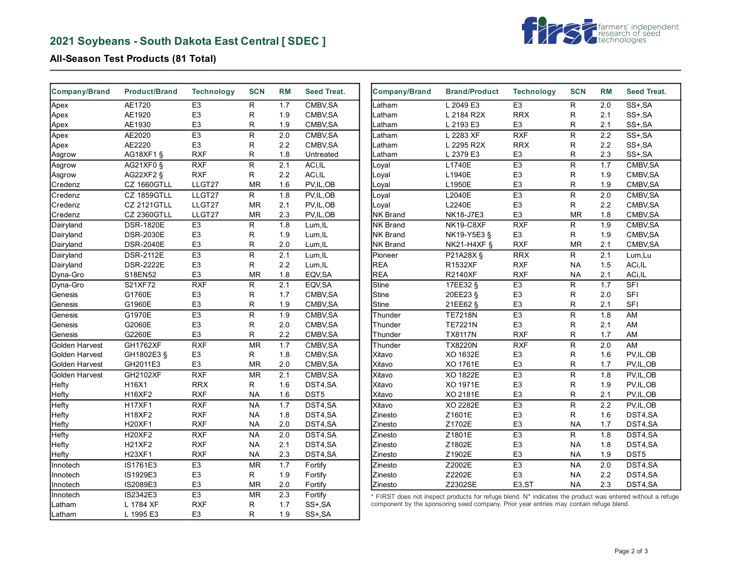# **2021 Soybeans - South Dakota East Central [ SDEC ]**



### **All-Season Test Products (81 Total)**

| <b>Company/Brand</b> | <b>Product/Brand</b> | <b>Technology</b> | <b>SCN</b>   | <b>RM</b> | <b>Seed Treat.</b> | <b>Company/Brand</b> | <b>Brand/Product</b>                                                                                                                                                                                | <b>Technology</b>  | <b>SCN</b>   | <b>RM</b> | <b>Seed Treat.</b> |
|----------------------|----------------------|-------------------|--------------|-----------|--------------------|----------------------|-----------------------------------------------------------------------------------------------------------------------------------------------------------------------------------------------------|--------------------|--------------|-----------|--------------------|
| Apex                 | AE1720               | E <sub>3</sub>    | R            | 1.7       | CMBV, SA           | Latham               | L 2049 E3                                                                                                                                                                                           | E <sub>3</sub>     | R            | 2.0       | SS+, SA            |
| Apex                 | AE1920               | E <sub>3</sub>    | $\mathsf{R}$ | 1.9       | CMBV, SA           | Latham               | L 2184 R2X                                                                                                                                                                                          | <b>RRX</b>         | $\mathsf{R}$ | 2.1       | SS+, SA            |
| Apex                 | AE1930               | E <sub>3</sub>    | R            | 1.9       | CMBV, SA           | Latham               | L 2193 E3                                                                                                                                                                                           | E <sub>3</sub>     | R            | 2.1       | SS+, SA            |
| Apex                 | AE2020               | E <sub>3</sub>    | ${\sf R}$    | 2.0       | CMBV, SA           | Latham               | L 2283 XF                                                                                                                                                                                           | RXF                | $\mathsf R$  | 2.2       | $SS+$ , $SA$       |
| Apex                 | AE2220               | E <sub>3</sub>    | R            | 2.2       | CMBV, SA           | Latham               | L 2295 R2X                                                                                                                                                                                          | <b>RRX</b>         | R            | 2.2       | SS+, SA            |
| Asgrow               | AG18XF1 §            | <b>RXF</b>        | R            | 1.8       | Untreated          | Latham               | L 2379 E3                                                                                                                                                                                           | E <sub>3</sub>     | R            | 2.3       | SS+, SA            |
| Asgrow               | AG21XF0 §            | <b>RXF</b>        | $\mathsf R$  | 2.1       | ACi, IL            | Loyal                | L1740E                                                                                                                                                                                              | E <sub>3</sub>     | $\mathsf{R}$ | 1.7       | CMBV, SA           |
| Asgrow               | AG22XF2 §            | <b>RXF</b>        | R            | 2.2       | ACi, IL            | Loyal                | L1940E                                                                                                                                                                                              | E <sub>3</sub>     | $\mathsf{R}$ | 1.9       | CMBV, SA           |
| Credenz              | CZ 1660GTLL          | LLGT27            | <b>MR</b>    | 1.6       | PV, IL, OB         | Loyal                | L1950E                                                                                                                                                                                              | E <sub>3</sub>     | R            | 1.9       | CMBV, SA           |
| Credenz              | CZ 1859GTLL          | LLGT27            | R.           | 1.8       | PV, IL, OB         | Loyal                | L2040E                                                                                                                                                                                              | E3                 | $\mathsf{R}$ | 2.0       | CMBV, SA           |
| Credenz              | <b>CZ 2121GTLL</b>   | LLGT27            | <b>MR</b>    | 2.1       | PV, IL, OB         | Loyal                | L2240E                                                                                                                                                                                              | E <sub>3</sub>     | R            | 2.2       | CMBV, SA           |
| Credenz              | <b>CZ 2360GTLL</b>   | LLGT27            | <b>MR</b>    | 2.3       | PV, IL, OB         | <b>NK Brand</b>      | NK18-J7E3                                                                                                                                                                                           | E <sub>3</sub>     | <b>MR</b>    | 1.8       | CMBV, SA           |
| Dairyland            | <b>DSR-1820E</b>     | E <sub>3</sub>    | R            | 1.8       | Lum, IL            | <b>NK Brand</b>      | NK19-C8XF                                                                                                                                                                                           | <b>RXF</b>         | R            | 1.9       | CMBV, SA           |
| Dairyland            | <b>DSR-2030E</b>     | E <sub>3</sub>    | R            | 1.9       | Lum, IL            | <b>NK Brand</b>      | NK19-Y5E3 §                                                                                                                                                                                         | E <sub>3</sub>     | R.           | 1.9       | CMBV, SA           |
| Dairyland            | <b>DSR-2040E</b>     | E <sub>3</sub>    | R            | 2.0       | Lum, IL            | <b>NK Brand</b>      | NK21-H4XF §                                                                                                                                                                                         | <b>RXF</b>         | <b>MR</b>    | 2.1       | CMBV, SA           |
| Dairyland            | <b>DSR-2112E</b>     | E <sub>3</sub>    | R            | 2.1       | Lum, IL            | Pioneer              | P21A28X §                                                                                                                                                                                           | <b>RRX</b>         | R.           | 2.1       | Lum,Lu             |
| Dairyland            | <b>DSR-2222E</b>     | E <sub>3</sub>    | R            | 2.2       | Lum, IL            | <b>REA</b>           | R1532XF                                                                                                                                                                                             | <b>RXF</b>         | <b>NA</b>    | 1.5       | ACi, IL            |
| Dyna-Gro             | S18EN52              | E <sub>3</sub>    | <b>MR</b>    | 1.8       | EQV, SA            | <b>REA</b>           | <b>R2140XF</b>                                                                                                                                                                                      | <b>RXF</b>         | <b>NA</b>    | 2.1       | ACi, IL            |
| Dyna-Gro             | S21XF72              | RXF               | $\mathsf R$  | 2.1       | EQV, SA            | <b>Stine</b>         | 17EE32 §                                                                                                                                                                                            | E <sub>3</sub>     | $\mathsf R$  | 1.7       | SFI                |
| Genesis              | G1760E               | E <sub>3</sub>    | $\mathsf{R}$ | 1.7       | CMBV, SA           | <b>Stine</b>         | 20EE23 §                                                                                                                                                                                            | E <sub>3</sub>     | R            | 2.0       | <b>SFI</b>         |
| Genesis              | G1960E               | E <sub>3</sub>    | $\mathsf{R}$ | 1.9       | CMBV, SA           | Stine                | 21EE62 §                                                                                                                                                                                            | E <sub>3</sub>     | R            | 2.1       | <b>SFI</b>         |
| Genesis              | G1970E               | E <sub>3</sub>    | $\mathsf{R}$ | 1.9       | CMBV.SA            | Thunder              | <b>TE7218N</b>                                                                                                                                                                                      | E <sub>3</sub>     | $\mathsf{R}$ | 1.8       | AM                 |
| Genesis              | G2060E               | E <sub>3</sub>    | $\mathsf R$  | 2.0       | CMBV, SA           | Thunder              | <b>TE7221N</b>                                                                                                                                                                                      | E <sub>3</sub>     | $\mathsf R$  | 2.1       | AM                 |
| Genesis              | G2260E               | E <sub>3</sub>    | $\mathsf{R}$ | 2.2       | CMBV, SA           | Thunder              | <b>TX8117N</b>                                                                                                                                                                                      | <b>RXF</b>         | R            | 1.7       | AM                 |
| Golden Harvest       | <b>GH1762XF</b>      | RXF               | <b>MR</b>    | 1.7       | CMBV, SA           | Thunder              | <b>TX8220N</b>                                                                                                                                                                                      | <b>RXF</b>         | ${\sf R}$    | 2.0       | AM                 |
| Golden Harvest       | GH1802E3 §           | E <sub>3</sub>    | R.           | 1.8       | CMBV, SA           | Xitavo               | XO 1632E                                                                                                                                                                                            | E <sub>3</sub>     | R            | 1.6       | PV, IL, OB         |
| Golden Harvest       | GH2011E3             | E <sub>3</sub>    | <b>MR</b>    | 2.0       | CMBV, SA           | Xitavo               | XO 1761E                                                                                                                                                                                            | E <sub>3</sub>     | R            | 1.7       | PV,IL,OB           |
| Golden Harvest       | GH2102XF             | <b>RXF</b>        | <b>MR</b>    | 2.1       | CMBV.SA            | Xitavo               | XO 1822E                                                                                                                                                                                            | E <sub>3</sub>     | $\mathsf{R}$ | 1.8       | PV, IL, OB         |
| Hefty                | H16X1                | <b>RRX</b>        | R            | 1.6       | DST4,SA            | Xitavo               | XO 1971E                                                                                                                                                                                            | E <sub>3</sub>     | $\mathsf{R}$ | 1.9       | PV, IL, OB         |
| Hefty                | <b>H16XF2</b>        | <b>RXF</b>        | <b>NA</b>    | 1.6       | DST <sub>5</sub>   | Xitavo               | XO 2181E                                                                                                                                                                                            | E <sub>3</sub>     | R            | 2.1       | PV, IL, OB         |
| Hefty                | <b>H17XF1</b>        | <b>RXF</b>        | <b>NA</b>    | 1.7       | DST4,SA            | Xitavo               | XO 2282E                                                                                                                                                                                            | E <sub>3</sub>     | $\mathsf R$  | 2.2       | PV, IL, OB         |
| Hefty                | <b>H18XF2</b>        | <b>RXF</b>        | <b>NA</b>    | 1.8       | DST4,SA            | Zinesto              | Z1601E                                                                                                                                                                                              | E <sub>3</sub>     | R            | 1.6       | DST4,SA            |
| Hefty                | <b>H20XF1</b>        | <b>RXF</b>        | <b>NA</b>    | 2.0       | DST4,SA            | Zinesto              | Z1702E                                                                                                                                                                                              | E <sub>3</sub>     | <b>NA</b>    | 1.7       | DST4,SA            |
| Hefty                | <b>H20XF2</b>        | <b>RXF</b>        | <b>NA</b>    | 2.0       | DST4.SA            | Zinesto              | Z1801E                                                                                                                                                                                              | E <sub>3</sub>     | $\mathsf{R}$ | 1.8       | DST4.SA            |
| Hefty                | <b>H21XF2</b>        | <b>RXF</b>        | <b>NA</b>    | 2.1       | DST4,SA            | Zinesto              | Z1802E                                                                                                                                                                                              | E <sub>3</sub>     | <b>NA</b>    | 1.8       | DST4,SA            |
| Hefty                | <b>H23XF1</b>        | <b>RXF</b>        | <b>NA</b>    | 2.3       | DST4,SA            | Zinesto              | Z1902E                                                                                                                                                                                              | E <sub>3</sub>     | <b>NA</b>    | 1.9       | DST5               |
| Innotech             | IS1761E3             | E <sub>3</sub>    | <b>MR</b>    | 1.7       | Fortify            | Zinesto              | Z2002E                                                                                                                                                                                              | E3                 | <b>NA</b>    | 2.0       | DST4,SA            |
| Innotech             | IS1929E3             | E <sub>3</sub>    | R            | 1.9       | Fortify            | Zinesto              | Z2202E                                                                                                                                                                                              | E <sub>3</sub>     | <b>NA</b>    | 2.2       | DST4,SA            |
| Innotech             | IS2089E3             | E <sub>3</sub>    | <b>MR</b>    | 2.0       | Fortify            | Zinesto              | Z2302SE                                                                                                                                                                                             | E <sub>3</sub> ,ST | <b>NA</b>    | 2.3       | DST4,SA            |
| Innotech             | IS2342E3             | E <sub>3</sub>    | <b>MR</b>    | 2.3       | Fortify            |                      |                                                                                                                                                                                                     |                    |              |           |                    |
|                      |                      | <b>RXF</b>        |              |           |                    |                      | * FIRST does not inspect products for refuge blend. N* indicates the product was entered without a refuge<br>component by the sponsoring seed company. Prior year entries may contain refuge blend. |                    |              |           |                    |
| Latham               | L 1784 XF            |                   | R<br>R.      | 1.7       | SS+, SA            |                      |                                                                                                                                                                                                     |                    |              |           |                    |
| Latham               | L 1995 E3            | E <sub>3</sub>    |              | 1.9       | SS+, SA            |                      |                                                                                                                                                                                                     |                    |              |           |                    |